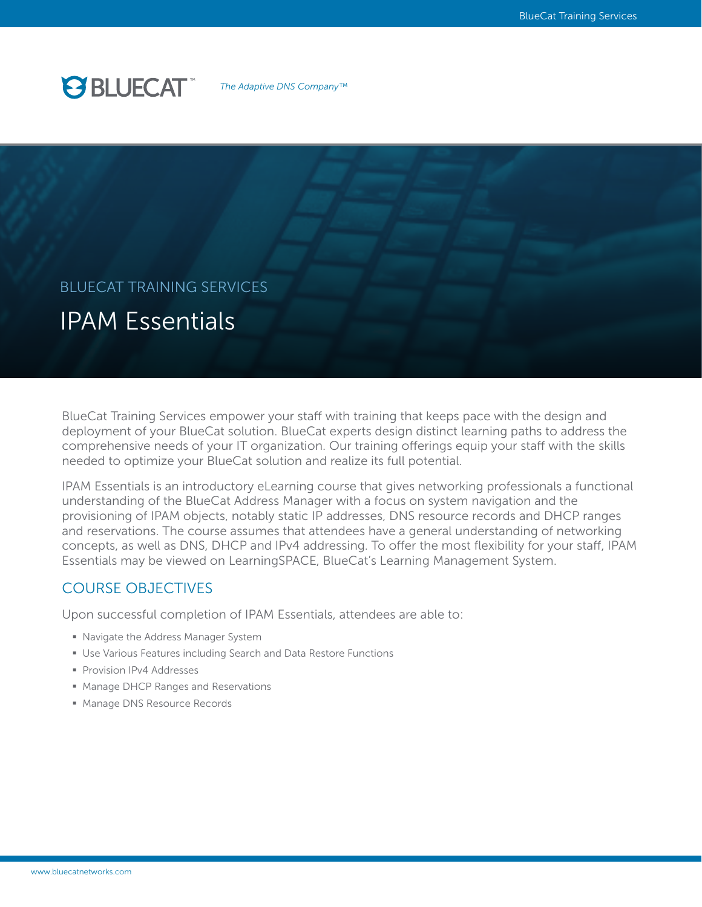

*The Adaptive DNS Company™*

# IPAM Essentials BLUECAT TRAINING SERVICES

BlueCat Training Services empower your staff with training that keeps pace with the design and deployment of your BlueCat solution. BlueCat experts design distinct learning paths to address the comprehensive needs of your IT organization. Our training offerings equip your staff with the skills needed to optimize your BlueCat solution and realize its full potential.

IPAM Essentials is an introductory eLearning course that gives networking professionals a functional understanding of the BlueCat Address Manager with a focus on system navigation and the provisioning of IPAM objects, notably static IP addresses, DNS resource records and DHCP ranges and reservations. The course assumes that attendees have a general understanding of networking concepts, as well as DNS, DHCP and IPv4 addressing. To offer the most flexibility for your staff, IPAM Essentials may be viewed on LearningSPACE, BlueCat's Learning Management System.

# COURSE OBJECTIVES

Upon successful completion of IPAM Essentials, attendees are able to:

- § Navigate the Address Manager System
- Use Various Features including Search and Data Restore Functions
- § Provision IPv4 Addresses
- Manage DHCP Ranges and Reservations
- Manage DNS Resource Records